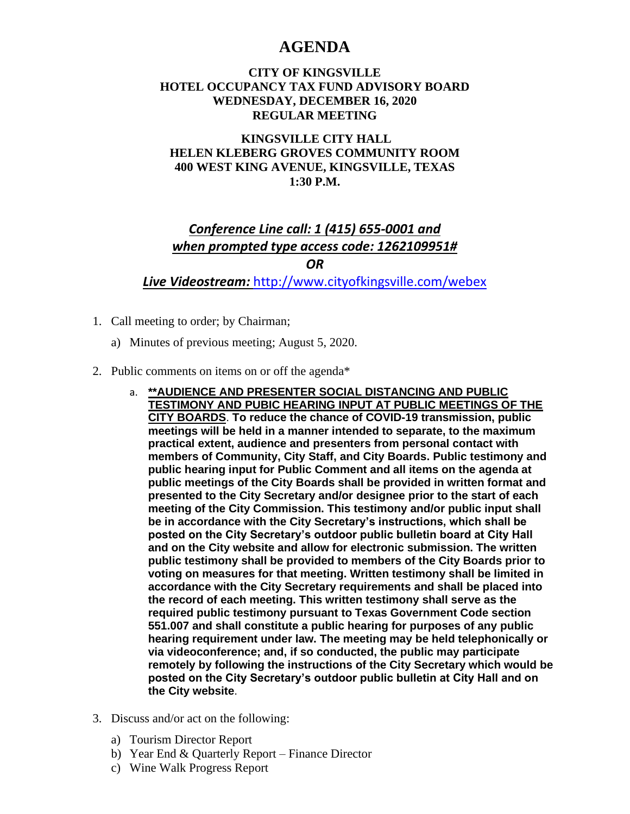# **AGENDA**

#### **CITY OF KINGSVILLE HOTEL OCCUPANCY TAX FUND ADVISORY BOARD WEDNESDAY, DECEMBER 16, 2020 REGULAR MEETING**

### **KINGSVILLE CITY HALL HELEN KLEBERG GROVES COMMUNITY ROOM 400 WEST KING AVENUE, KINGSVILLE, TEXAS 1:30 P.M.**

## *Conference Line call: 1 (415) 655-0001 and when prompted type access code: 1262109951# OR*

*Live Videostream:* <http://www.cityofkingsville.com/webex>

- 1. Call meeting to order; by Chairman;
	- a) Minutes of previous meeting; August 5, 2020.
- 2. Public comments on items on or off the agenda\*
	- a. **\*\*AUDIENCE AND PRESENTER SOCIAL DISTANCING AND PUBLIC TESTIMONY AND PUBIC HEARING INPUT AT PUBLIC MEETINGS OF THE CITY BOARDS**. **To reduce the chance of COVID-19 transmission, public meetings will be held in a manner intended to separate, to the maximum practical extent, audience and presenters from personal contact with members of Community, City Staff, and City Boards. Public testimony and public hearing input for Public Comment and all items on the agenda at public meetings of the City Boards shall be provided in written format and presented to the City Secretary and/or designee prior to the start of each meeting of the City Commission. This testimony and/or public input shall be in accordance with the City Secretary's instructions, which shall be posted on the City Secretary's outdoor public bulletin board at City Hall and on the City website and allow for electronic submission. The written public testimony shall be provided to members of the City Boards prior to voting on measures for that meeting. Written testimony shall be limited in accordance with the City Secretary requirements and shall be placed into the record of each meeting. This written testimony shall serve as the required public testimony pursuant to Texas Government Code section 551.007 and shall constitute a public hearing for purposes of any public hearing requirement under law. The meeting may be held telephonically or via videoconference; and, if so conducted, the public may participate remotely by following the instructions of the City Secretary which would be posted on the City Secretary's outdoor public bulletin at City Hall and on the City website**.
- 3. Discuss and/or act on the following:
	- a) Tourism Director Report
	- b) Year End & Quarterly Report Finance Director
	- c) Wine Walk Progress Report